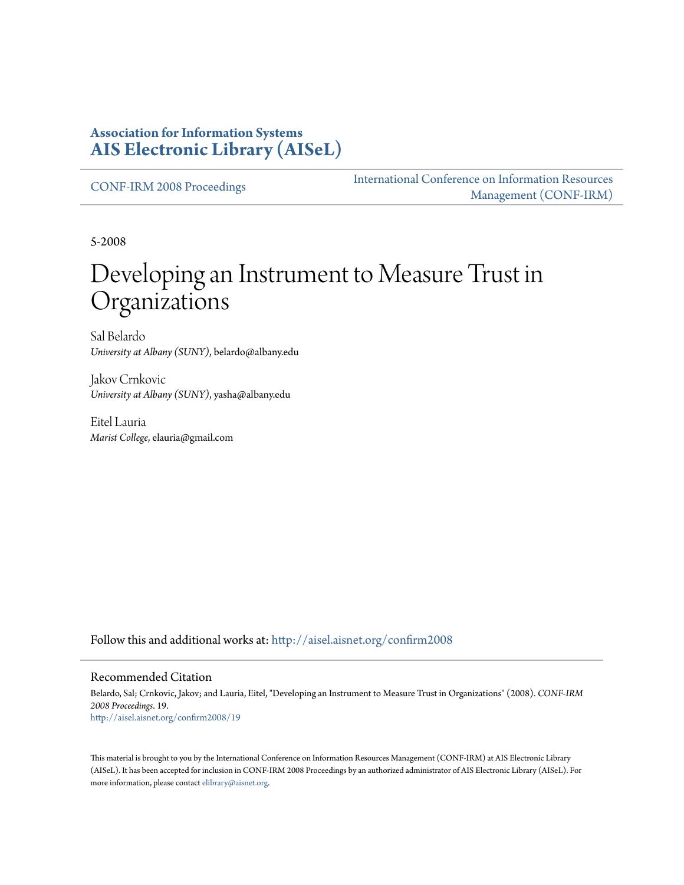#### **Association for Information Systems [AIS Electronic Library \(AISeL\)](http://aisel.aisnet.org?utm_source=aisel.aisnet.org%2Fconfirm2008%2F19&utm_medium=PDF&utm_campaign=PDFCoverPages)**

[CONF-IRM 2008 Proceedings](http://aisel.aisnet.org/confirm2008?utm_source=aisel.aisnet.org%2Fconfirm2008%2F19&utm_medium=PDF&utm_campaign=PDFCoverPages)

[International Conference on Information Resources](http://aisel.aisnet.org/conf-irm?utm_source=aisel.aisnet.org%2Fconfirm2008%2F19&utm_medium=PDF&utm_campaign=PDFCoverPages) [Management \(CONF-IRM\)](http://aisel.aisnet.org/conf-irm?utm_source=aisel.aisnet.org%2Fconfirm2008%2F19&utm_medium=PDF&utm_campaign=PDFCoverPages)

5-2008

# Developing an Instrument to Measure Trust in Organizations

Sal Belardo *University at Albany (SUNY)*, belardo@albany.edu

Jakov Crnkovic *University at Albany (SUNY)*, yasha@albany.edu

Eitel Lauria *Marist College*, elauria@gmail.com

Follow this and additional works at: [http://aisel.aisnet.org/confirm2008](http://aisel.aisnet.org/confirm2008?utm_source=aisel.aisnet.org%2Fconfirm2008%2F19&utm_medium=PDF&utm_campaign=PDFCoverPages)

#### Recommended Citation

Belardo, Sal; Crnkovic, Jakov; and Lauria, Eitel, "Developing an Instrument to Measure Trust in Organizations" (2008). *CONF-IRM 2008 Proceedings*. 19. [http://aisel.aisnet.org/confirm2008/19](http://aisel.aisnet.org/confirm2008/19?utm_source=aisel.aisnet.org%2Fconfirm2008%2F19&utm_medium=PDF&utm_campaign=PDFCoverPages)

This material is brought to you by the International Conference on Information Resources Management (CONF-IRM) at AIS Electronic Library (AISeL). It has been accepted for inclusion in CONF-IRM 2008 Proceedings by an authorized administrator of AIS Electronic Library (AISeL). For more information, please contact [elibrary@aisnet.org.](mailto:elibrary@aisnet.org%3E)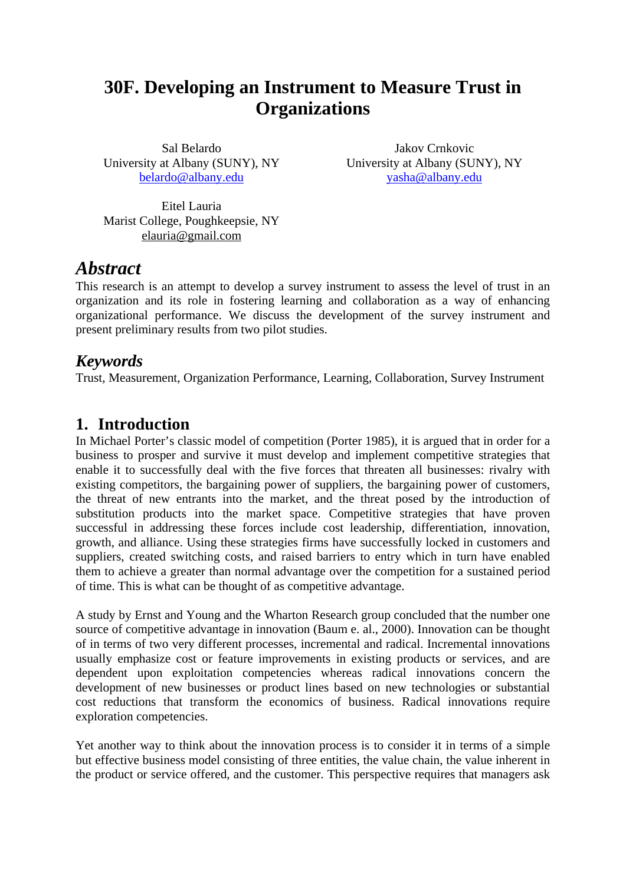## **30F. Developing an Instrument to Measure Trust in Organizations**

Sal Belardo University at Albany (SUNY), NY belardo@albany.edu

Jakov Crnkovic University at Albany (SUNY), NY yasha@albany.edu

Eitel Lauria Marist College, Poughkeepsie, NY elauria@gmail.com

### *Abstract*

This research is an attempt to develop a survey instrument to assess the level of trust in an organization and its role in fostering learning and collaboration as a way of enhancing organizational performance. We discuss the development of the survey instrument and present preliminary results from two pilot studies.

#### *Keywords*

Trust, Measurement, Organization Performance, Learning, Collaboration, Survey Instrument

#### **1. Introduction**

In Michael Porter's classic model of competition (Porter 1985), it is argued that in order for a business to prosper and survive it must develop and implement competitive strategies that enable it to successfully deal with the five forces that threaten all businesses: rivalry with existing competitors, the bargaining power of suppliers, the bargaining power of customers, the threat of new entrants into the market, and the threat posed by the introduction of substitution products into the market space. Competitive strategies that have proven successful in addressing these forces include cost leadership, differentiation, innovation, growth, and alliance. Using these strategies firms have successfully locked in customers and suppliers, created switching costs, and raised barriers to entry which in turn have enabled them to achieve a greater than normal advantage over the competition for a sustained period of time. This is what can be thought of as competitive advantage.

A study by Ernst and Young and the Wharton Research group concluded that the number one source of competitive advantage in innovation (Baum e. al., 2000). Innovation can be thought of in terms of two very different processes, incremental and radical. Incremental innovations usually emphasize cost or feature improvements in existing products or services, and are dependent upon exploitation competencies whereas radical innovations concern the development of new businesses or product lines based on new technologies or substantial cost reductions that transform the economics of business. Radical innovations require exploration competencies.

Yet another way to think about the innovation process is to consider it in terms of a simple but effective business model consisting of three entities, the value chain, the value inherent in the product or service offered, and the customer. This perspective requires that managers ask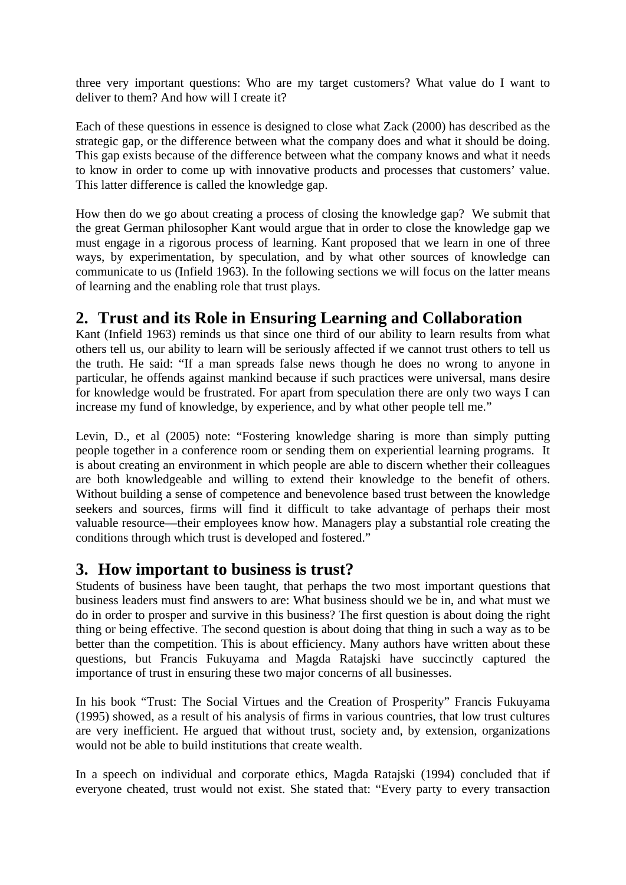three very important questions: Who are my target customers? What value do I want to deliver to them? And how will I create it?

Each of these questions in essence is designed to close what Zack (2000) has described as the strategic gap, or the difference between what the company does and what it should be doing. This gap exists because of the difference between what the company knows and what it needs to know in order to come up with innovative products and processes that customers' value. This latter difference is called the knowledge gap.

How then do we go about creating a process of closing the knowledge gap? We submit that the great German philosopher Kant would argue that in order to close the knowledge gap we must engage in a rigorous process of learning. Kant proposed that we learn in one of three ways, by experimentation, by speculation, and by what other sources of knowledge can communicate to us (Infield 1963). In the following sections we will focus on the latter means of learning and the enabling role that trust plays.

#### **2. Trust and its Role in Ensuring Learning and Collaboration**

Kant (Infield 1963) reminds us that since one third of our ability to learn results from what others tell us, our ability to learn will be seriously affected if we cannot trust others to tell us the truth. He said: "If a man spreads false news though he does no wrong to anyone in particular, he offends against mankind because if such practices were universal, mans desire for knowledge would be frustrated. For apart from speculation there are only two ways I can increase my fund of knowledge, by experience, and by what other people tell me."

Levin, D., et al (2005) note: "Fostering knowledge sharing is more than simply putting people together in a conference room or sending them on experiential learning programs. It is about creating an environment in which people are able to discern whether their colleagues are both knowledgeable and willing to extend their knowledge to the benefit of others. Without building a sense of competence and benevolence based trust between the knowledge seekers and sources, firms will find it difficult to take advantage of perhaps their most valuable resource—their employees know how. Managers play a substantial role creating the conditions through which trust is developed and fostered."

#### **3. How important to business is trust?**

Students of business have been taught, that perhaps the two most important questions that business leaders must find answers to are: What business should we be in, and what must we do in order to prosper and survive in this business? The first question is about doing the right thing or being effective. The second question is about doing that thing in such a way as to be better than the competition. This is about efficiency. Many authors have written about these questions, but Francis Fukuyama and Magda Ratajski have succinctly captured the importance of trust in ensuring these two major concerns of all businesses.

In his book "Trust: The Social Virtues and the Creation of Prosperity" Francis Fukuyama (1995) showed, as a result of his analysis of firms in various countries, that low trust cultures are very inefficient. He argued that without trust, society and, by extension, organizations would not be able to build institutions that create wealth.

In a speech on individual and corporate ethics, Magda Ratajski (1994) concluded that if everyone cheated, trust would not exist. She stated that: "Every party to every transaction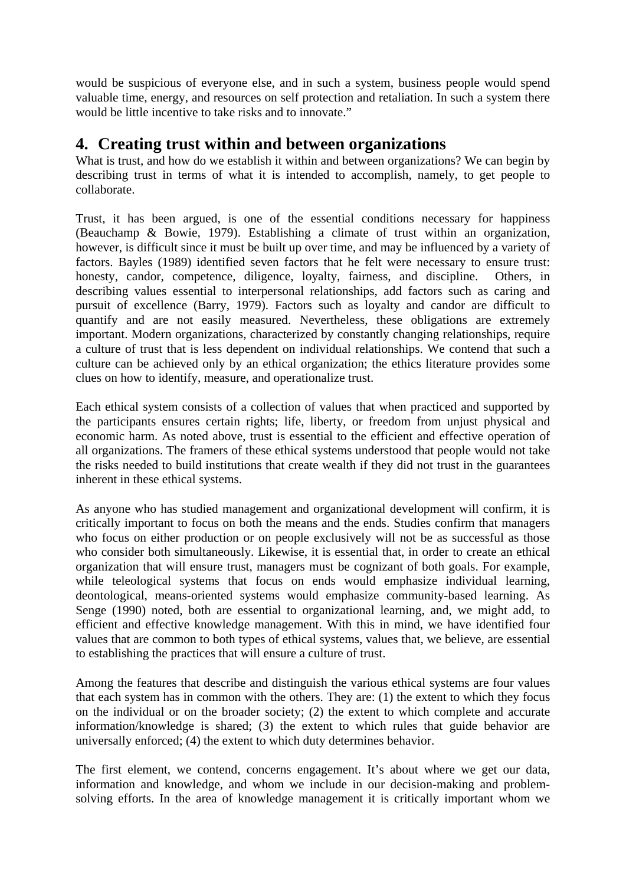would be suspicious of everyone else, and in such a system, business people would spend valuable time, energy, and resources on self protection and retaliation. In such a system there would be little incentive to take risks and to innovate."

#### **4. Creating trust within and between organizations**

What is trust, and how do we establish it within and between organizations? We can begin by describing trust in terms of what it is intended to accomplish, namely, to get people to collaborate.

Trust, it has been argued, is one of the essential conditions necessary for happiness (Beauchamp & Bowie, 1979). Establishing a climate of trust within an organization, however, is difficult since it must be built up over time, and may be influenced by a variety of factors. Bayles (1989) identified seven factors that he felt were necessary to ensure trust: honesty, candor, competence, diligence, loyalty, fairness, and discipline. Others, in describing values essential to interpersonal relationships, add factors such as caring and pursuit of excellence (Barry, 1979). Factors such as loyalty and candor are difficult to quantify and are not easily measured. Nevertheless, these obligations are extremely important. Modern organizations, characterized by constantly changing relationships, require a culture of trust that is less dependent on individual relationships. We contend that such a culture can be achieved only by an ethical organization; the ethics literature provides some clues on how to identify, measure, and operationalize trust.

Each ethical system consists of a collection of values that when practiced and supported by the participants ensures certain rights; life, liberty, or freedom from unjust physical and economic harm. As noted above, trust is essential to the efficient and effective operation of all organizations. The framers of these ethical systems understood that people would not take the risks needed to build institutions that create wealth if they did not trust in the guarantees inherent in these ethical systems.

As anyone who has studied management and organizational development will confirm, it is critically important to focus on both the means and the ends. Studies confirm that managers who focus on either production or on people exclusively will not be as successful as those who consider both simultaneously. Likewise, it is essential that, in order to create an ethical organization that will ensure trust, managers must be cognizant of both goals. For example, while teleological systems that focus on ends would emphasize individual learning, deontological, means-oriented systems would emphasize community-based learning. As Senge (1990) noted, both are essential to organizational learning, and, we might add, to efficient and effective knowledge management. With this in mind, we have identified four values that are common to both types of ethical systems, values that, we believe, are essential to establishing the practices that will ensure a culture of trust.

Among the features that describe and distinguish the various ethical systems are four values that each system has in common with the others. They are: (1) the extent to which they focus on the individual or on the broader society; (2) the extent to which complete and accurate information/knowledge is shared; (3) the extent to which rules that guide behavior are universally enforced; (4) the extent to which duty determines behavior.

The first element, we contend, concerns engagement. It's about where we get our data, information and knowledge, and whom we include in our decision-making and problemsolving efforts. In the area of knowledge management it is critically important whom we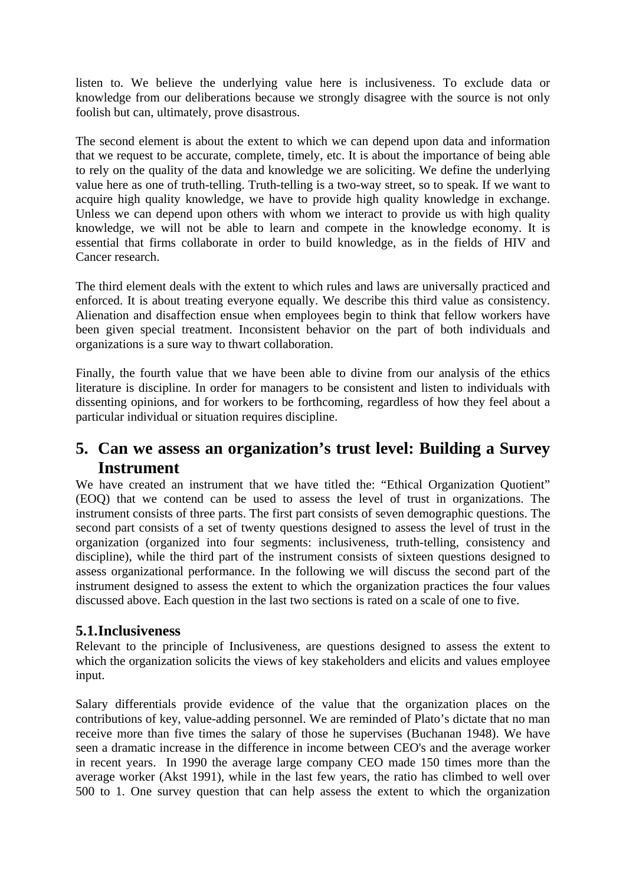listen to. We believe the underlying value here is inclusiveness. To exclude data or knowledge from our deliberations because we strongly disagree with the source is not only foolish but can, ultimately, prove disastrous.

The second element is about the extent to which we can depend upon data and information that we request to be accurate, complete, timely, etc. It is about the importance of being able to rely on the quality of the data and knowledge we are soliciting. We define the underlying value here as one of truth-telling. Truth-telling is a two-way street, so to speak. If we want to acquire high quality knowledge, we have to provide high quality knowledge in exchange. Unless we can depend upon others with whom we interact to provide us with high quality knowledge, we will not be able to learn and compete in the knowledge economy. It is essential that firms collaborate in order to build knowledge, as in the fields of HIV and Cancer research.

The third element deals with the extent to which rules and laws are universally practiced and enforced. It is about treating everyone equally. We describe this third value as consistency. Alienation and disaffection ensue when employees begin to think that fellow workers have been given special treatment. Inconsistent behavior on the part of both individuals and organizations is a sure way to thwart collaboration.

Finally, the fourth value that we have been able to divine from our analysis of the ethics literature is discipline. In order for managers to be consistent and listen to individuals with dissenting opinions, and for workers to be forthcoming, regardless of how they feel about a particular individual or situation requires discipline.

#### **5. Can we assess an organization's trust level: Building a Survey Instrument**

We have created an instrument that we have titled the: "Ethical Organization Quotient" (EOQ) that we contend can be used to assess the level of trust in organizations. The instrument consists of three parts. The first part consists of seven demographic questions. The second part consists of a set of twenty questions designed to assess the level of trust in the organization (organized into four segments: inclusiveness, truth-telling, consistency and discipline), while the third part of the instrument consists of sixteen questions designed to assess organizational performance. In the following we will discuss the second part of the instrument designed to assess the extent to which the organization practices the four values discussed above. Each question in the last two sections is rated on a scale of one to five.

#### **5.1.Inclusiveness**

Relevant to the principle of Inclusiveness, are questions designed to assess the extent to which the organization solicits the views of key stakeholders and elicits and values employee input.

Salary differentials provide evidence of the value that the organization places on the contributions of key, value-adding personnel. We are reminded of Plato's dictate that no man receive more than five times the salary of those he supervises (Buchanan 1948). We have seen a dramatic increase in the difference in income between CEO's and the average worker in recent years. In 1990 the average large company CEO made 150 times more than the average worker (Akst 1991), while in the last few years, the ratio has climbed to well over 500 to 1. One survey question that can help assess the extent to which the organization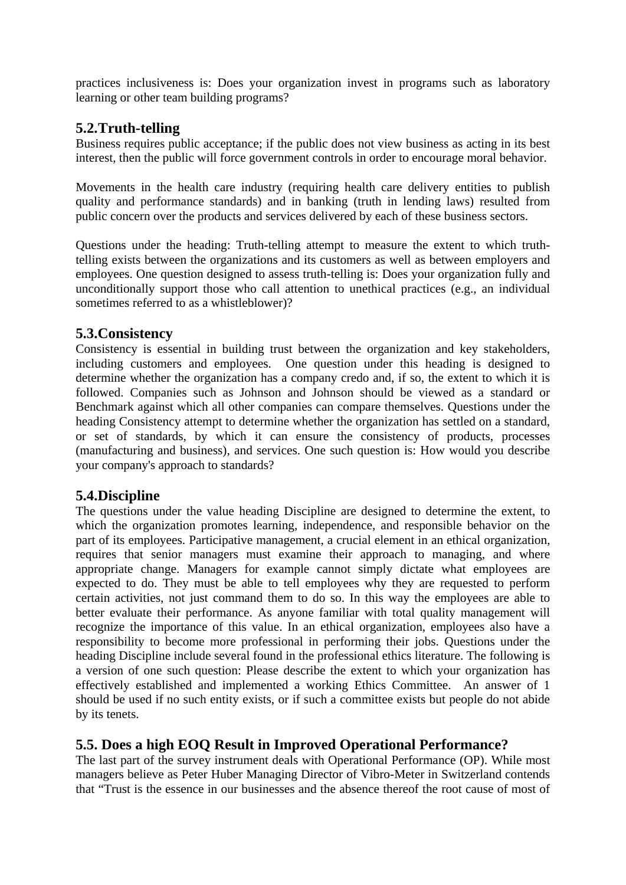practices inclusiveness is: Does your organization invest in programs such as laboratory learning or other team building programs?

#### **5.2.Truth-telling**

Business requires public acceptance; if the public does not view business as acting in its best interest, then the public will force government controls in order to encourage moral behavior.

Movements in the health care industry (requiring health care delivery entities to publish quality and performance standards) and in banking (truth in lending laws) resulted from public concern over the products and services delivered by each of these business sectors.

Questions under the heading: Truth-telling attempt to measure the extent to which truthtelling exists between the organizations and its customers as well as between employers and employees. One question designed to assess truth-telling is: Does your organization fully and unconditionally support those who call attention to unethical practices (e.g., an individual sometimes referred to as a whistleblower)?

#### **5.3.Consistency**

Consistency is essential in building trust between the organization and key stakeholders, including customers and employees. One question under this heading is designed to determine whether the organization has a company credo and, if so, the extent to which it is followed. Companies such as Johnson and Johnson should be viewed as a standard or Benchmark against which all other companies can compare themselves. Questions under the heading Consistency attempt to determine whether the organization has settled on a standard, or set of standards, by which it can ensure the consistency of products, processes (manufacturing and business), and services. One such question is: How would you describe your company's approach to standards?

#### **5.4.Discipline**

The questions under the value heading Discipline are designed to determine the extent, to which the organization promotes learning, independence, and responsible behavior on the part of its employees. Participative management, a crucial element in an ethical organization, requires that senior managers must examine their approach to managing, and where appropriate change. Managers for example cannot simply dictate what employees are expected to do. They must be able to tell employees why they are requested to perform certain activities, not just command them to do so. In this way the employees are able to better evaluate their performance. As anyone familiar with total quality management will recognize the importance of this value. In an ethical organization, employees also have a responsibility to become more professional in performing their jobs. Questions under the heading Discipline include several found in the professional ethics literature. The following is a version of one such question: Please describe the extent to which your organization has effectively established and implemented a working Ethics Committee. An answer of 1 should be used if no such entity exists, or if such a committee exists but people do not abide by its tenets.

#### **5.5. Does a high EOQ Result in Improved Operational Performance?**

The last part of the survey instrument deals with Operational Performance (OP). While most managers believe as Peter Huber Managing Director of Vibro-Meter in Switzerland contends that "Trust is the essence in our businesses and the absence thereof the root cause of most of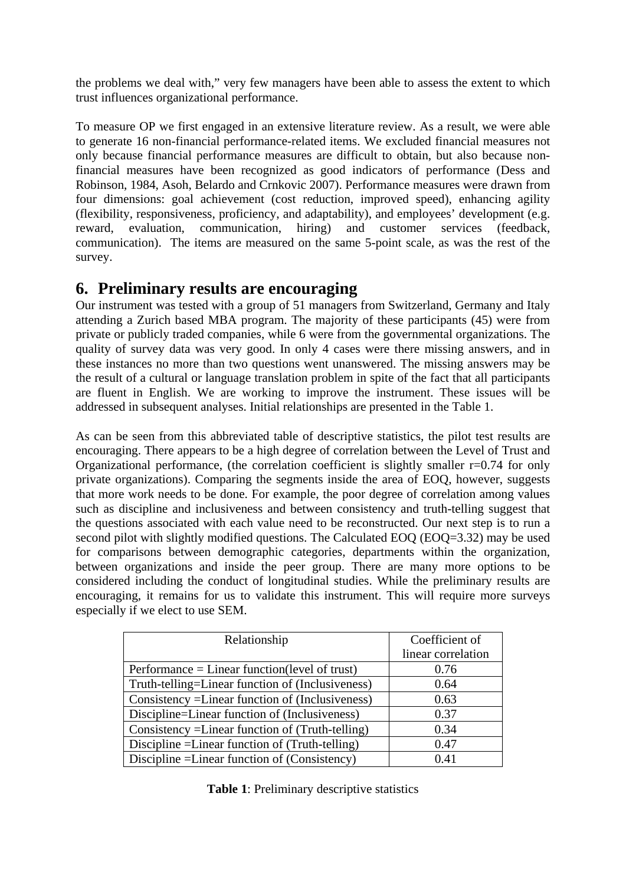the problems we deal with," very few managers have been able to assess the extent to which trust influences organizational performance.

To measure OP we first engaged in an extensive literature review. As a result, we were able to generate 16 non-financial performance-related items. We excluded financial measures not only because financial performance measures are difficult to obtain, but also because nonfinancial measures have been recognized as good indicators of performance (Dess and Robinson, 1984, Asoh, Belardo and Crnkovic 2007). Performance measures were drawn from four dimensions: goal achievement (cost reduction, improved speed), enhancing agility (flexibility, responsiveness, proficiency, and adaptability), and employees' development (e.g. reward, evaluation, communication, hiring) and customer services (feedback, communication). The items are measured on the same 5-point scale, as was the rest of the survey.

#### **6. Preliminary results are encouraging**

Our instrument was tested with a group of 51 managers from Switzerland, Germany and Italy attending a Zurich based MBA program. The majority of these participants (45) were from private or publicly traded companies, while 6 were from the governmental organizations. The quality of survey data was very good. In only 4 cases were there missing answers, and in these instances no more than two questions went unanswered. The missing answers may be the result of a cultural or language translation problem in spite of the fact that all participants are fluent in English. We are working to improve the instrument. These issues will be addressed in subsequent analyses. Initial relationships are presented in the Table 1.

As can be seen from this abbreviated table of descriptive statistics, the pilot test results are encouraging. There appears to be a high degree of correlation between the Level of Trust and Organizational performance, (the correlation coefficient is slightly smaller  $r=0.74$  for only private organizations). Comparing the segments inside the area of EOQ, however, suggests that more work needs to be done. For example, the poor degree of correlation among values such as discipline and inclusiveness and between consistency and truth-telling suggest that the questions associated with each value need to be reconstructed. Our next step is to run a second pilot with slightly modified questions. The Calculated EOQ (EOQ=3.32) may be used for comparisons between demographic categories, departments within the organization, between organizations and inside the peer group. There are many more options to be considered including the conduct of longitudinal studies. While the preliminary results are encouraging, it remains for us to validate this instrument. This will require more surveys especially if we elect to use SEM.

| Relationship                                     | Coefficient of     |
|--------------------------------------------------|--------------------|
|                                                  | linear correlation |
| $Performance = Linear function(level of trust)$  | 0.76               |
| Truth-telling=Linear function of (Inclusiveness) | 0.64               |
| Consistency = Linear function of (Inclusiveness) | 0.63               |
| Discipline=Linear function of (Inclusiveness)    | 0.37               |
| Consistency = Linear function of (Truth-telling) | 0.34               |
| Discipline = Linear function of (Truth-telling)  | 0.47               |
| Discipline = Linear function of (Consistency)    | 0.41               |

**Table 1**: Preliminary descriptive statistics